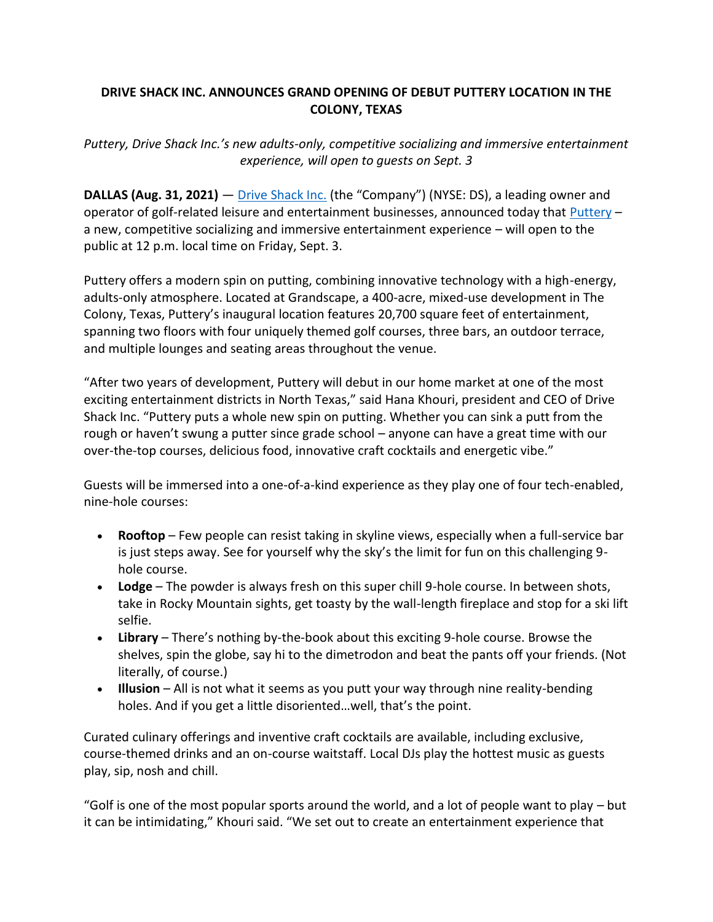## **DRIVE SHACK INC. ANNOUNCES GRAND OPENING OF DEBUT PUTTERY LOCATION IN THE COLONY, TEXAS**

*Puttery, Drive Shack Inc.'s new adults-only, competitive socializing and immersive entertainment experience, will open to guests on Sept. 3*

**DALLAS (Aug. 31, 2021)** — [Drive Shack Inc.](https://protect-us.mimecast.com/s/5WL4CxkmVVFyDP2f8El3u?domain=u12097671.ct.sendgrid.net) (the "Company") (NYSE: DS), a leading owner and operator of golf-related leisure and entertainment businesses, announced today that [Puttery](https://protect-us.mimecast.com/s/za53CyPn66tgKAlCM9Cba?domain=u12097671.ct.sendgrid.net) – a new, competitive socializing and immersive entertainment experience – will open to the public at 12 p.m. local time on Friday, Sept. 3.

Puttery offers a modern spin on putting, combining innovative technology with a high-energy, adults-only atmosphere. Located at Grandscape, a 400-acre, mixed-use development in The Colony, Texas, Puttery's inaugural location features 20,700 square feet of entertainment, spanning two floors with four uniquely themed golf courses, three bars, an outdoor terrace, and multiple lounges and seating areas throughout the venue.

"After two years of development, Puttery will debut in our home market at one of the most exciting entertainment districts in North Texas," said Hana Khouri, president and CEO of Drive Shack Inc. "Puttery puts a whole new spin on putting. Whether you can sink a putt from the rough or haven't swung a putter since grade school – anyone can have a great time with our over-the-top courses, delicious food, innovative craft cocktails and energetic vibe."

Guests will be immersed into a one-of-a-kind experience as they play one of four tech-enabled, nine-hole courses:

- **Rooftop** Few people can resist taking in skyline views, especially when a full-service bar is just steps away. See for yourself why the sky's the limit for fun on this challenging 9 hole course.
- **Lodge** The powder is always fresh on this super chill 9-hole course. In between shots, take in Rocky Mountain sights, get toasty by the wall-length fireplace and stop for a ski lift selfie.
- **Library** There's nothing by-the-book about this exciting 9-hole course. Browse the shelves, spin the globe, say hi to the dimetrodon and beat the pants off your friends. (Not literally, of course.)
- **Illusion** All is not what it seems as you putt your way through nine reality-bending holes. And if you get a little disoriented…well, that's the point.

Curated culinary offerings and inventive craft cocktails are available, including exclusive, course-themed drinks and an on-course waitstaff. Local DJs play the hottest music as guests play, sip, nosh and chill.

"Golf is one of the most popular sports around the world, and a lot of people want to play – but it can be intimidating," Khouri said. "We set out to create an entertainment experience that